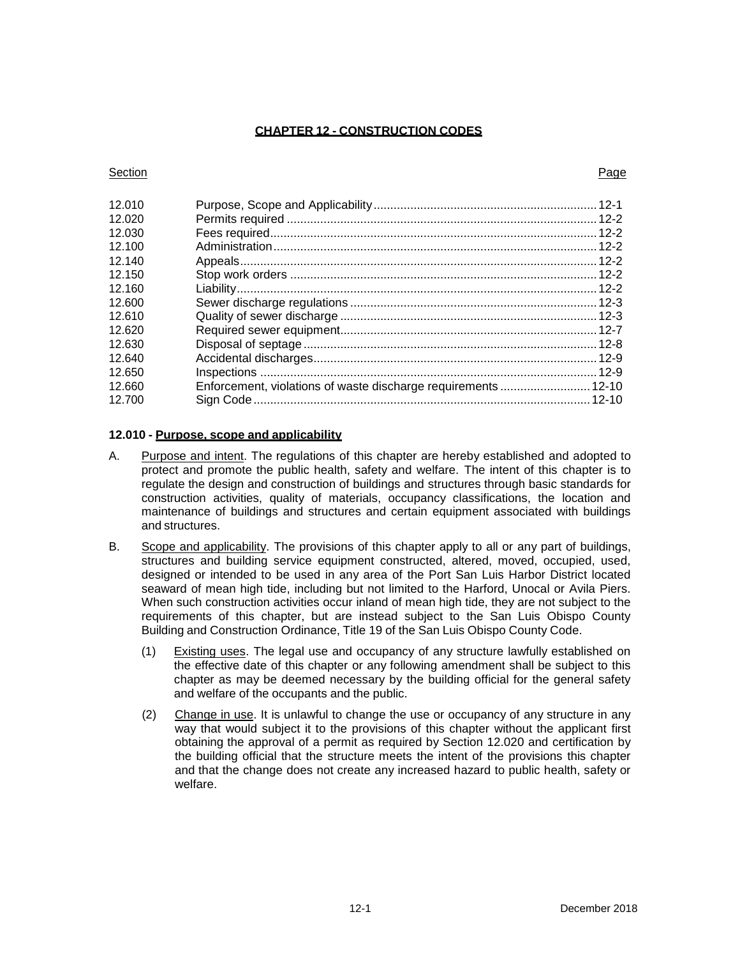### **CHAPTER 12 - CONSTRUCTION CODES**

#### **Section Page 2018**

| 12.010 |  |
|--------|--|
| 12.020 |  |
| 12.030 |  |
| 12.100 |  |
| 12 140 |  |
| 12.150 |  |
| 12.160 |  |
| 12.600 |  |
| 12.610 |  |
| 12.620 |  |
| 12.630 |  |
| 12.640 |  |
| 12.650 |  |
| 12.660 |  |
| 12.700 |  |
|        |  |

# <span id="page-0-0"></span>**12.010 - Purpose, scope and applicability**

- A. Purpose and intent. The regulations of this chapter are hereby established and adopted to protect and promote the public health, safety and welfare. The intent of this chapter is to regulate the design and construction of buildings and structures through basic standards for construction activities, quality of materials, occupancy classifications, the location and maintenance of buildings and structures and certain equipment associated with buildings and structures.
- B. Scope and applicability. The provisions of this chapter apply to all or any part of buildings, structures and building service equipment constructed, altered, moved, occupied, used, designed or intended to be used in any area of the Port San Luis Harbor District located seaward of mean high tide, including but not limited to the Harford, Unocal or Avila Piers. When such construction activities occur inland of mean high tide, they are not subject to the requirements of this chapter, but are instead subject to the San Luis Obispo County Building and Construction Ordinance, Title 19 of the San Luis Obispo County Code.
	- (1) Existing uses. The legal use and occupancy of any structure lawfully established on the effective date of this chapter or any following amendment shall be subject to this chapter as may be deemed necessary by the building official for the general safety and welfare of the occupants and the public.
	- (2) Change in use. It is unlawful to change the use or occupancy of any structure in any way that would subject it to the provisions of this chapter without the applicant first obtaining the approval of a permit as required by Section 12.020 and certification by the building official that the structure meets the intent of the provisions this chapter and that the change does not create any increased hazard to public health, safety or welfare.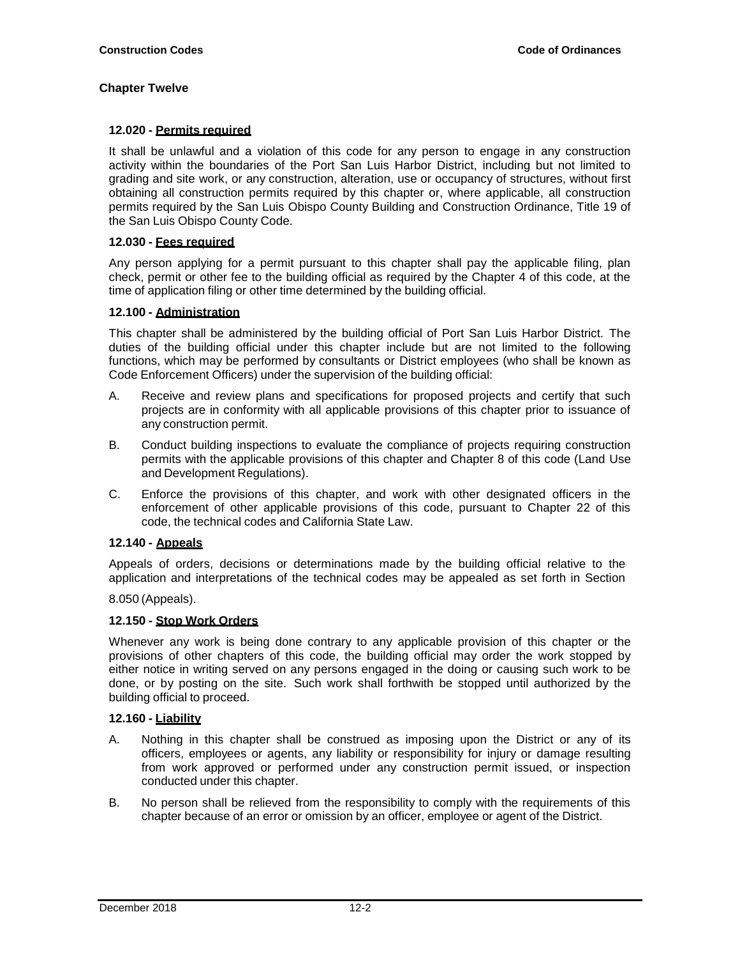# <span id="page-1-0"></span>**12.020 - Permits required**

It shall be unlawful and a violation of this code for any person to engage in any construction activity within the boundaries of the Port San Luis Harbor District, including but not limited to grading and site work, or any construction, alteration, use or occupancy of structures, without first obtaining all construction permits required by this chapter or, where applicable, all construction permits required by the San Luis Obispo County Building and Construction Ordinance, Title 19 of the San Luis Obispo County Code.

### <span id="page-1-1"></span>**12.030 - Fees required**

Any person applying for a permit pursuant to this chapter shall pay the applicable filing, plan check, permit or other fee to the building official as required by the Chapter 4 of this code, at the time of application filing or other time determined by the building official.

## <span id="page-1-2"></span>**12.100 - Administration**

This chapter shall be administered by the building official of Port San Luis Harbor District. The duties of the building official under this chapter include but are not limited to the following functions, which may be performed by consultants or District employees (who shall be known as Code Enforcement Officers) under the supervision of the building official:

- A. Receive and review plans and specifications for proposed projects and certify that such projects are in conformity with all applicable provisions of this chapter prior to issuance of any construction permit.
- B. Conduct building inspections to evaluate the compliance of projects requiring construction permits with the applicable provisions of this chapter and Chapter 8 of this code (Land Use and Development Regulations).
- C. Enforce the provisions of this chapter, and work with other designated officers in the enforcement of other applicable provisions of this code, pursuant to Chapter 22 of this code, the technical codes and California State Law.

## <span id="page-1-3"></span>**12.140 - Appeals**

Appeals of orders, decisions or determinations made by the building official relative to the application and interpretations of the technical codes may be appealed as set forth in Section

8.050 (Appeals).

## <span id="page-1-4"></span>**12.150 - Stop Work Orders**

Whenever any work is being done contrary to any applicable provision of this chapter or the provisions of other chapters of this code, the building official may order the work stopped by either notice in writing served on any persons engaged in the doing or causing such work to be done, or by posting on the site. Such work shall forthwith be stopped until authorized by the building official to proceed.

#### <span id="page-1-5"></span>**12.160 - Liability**

- A. Nothing in this chapter shall be construed as imposing upon the District or any of its officers, employees or agents, any liability or responsibility for injury or damage resulting from work approved or performed under any construction permit issued, or inspection conducted under this chapter.
- B. No person shall be relieved from the responsibility to comply with the requirements of this chapter because of an error or omission by an officer, employee or agent of the District.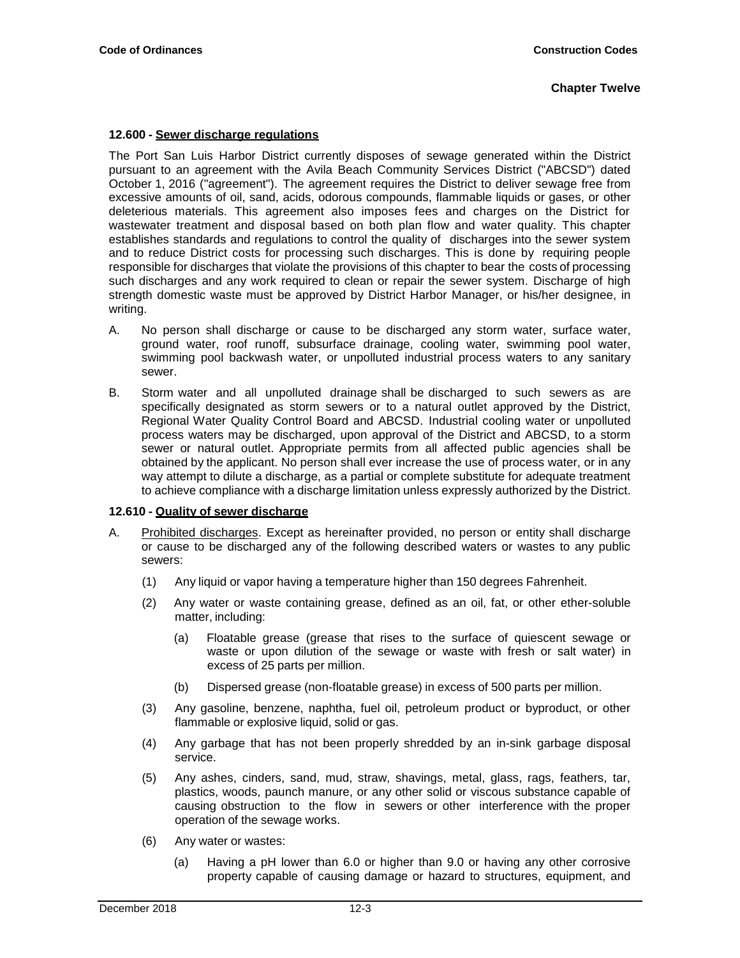#### <span id="page-2-0"></span>**12.600 - Sewer discharge regulations**

The Port San Luis Harbor District currently disposes of sewage generated within the District pursuant to an agreement with the Avila Beach Community Services District ("ABCSD") dated October 1, 2016 ("agreement"). The agreement requires the District to deliver sewage free from excessive amounts of oil, sand, acids, odorous compounds, flammable liquids or gases, or other deleterious materials. This agreement also imposes fees and charges on the District for wastewater treatment and disposal based on both plan flow and water quality. This chapter establishes standards and regulations to control the quality of discharges into the sewer system and to reduce District costs for processing such discharges. This is done by requiring people responsible for discharges that violate the provisions of this chapter to bear the costs of processing such discharges and any work required to clean or repair the sewer system. Discharge of high strength domestic waste must be approved by District Harbor Manager, or his/her designee, in writing.

- A. No person shall discharge or cause to be discharged any storm water, surface water, ground water, roof runoff, subsurface drainage, cooling water, swimming pool water, swimming pool backwash water, or unpolluted industrial process waters to any sanitary sewer.
- B. Storm water and all unpolluted drainage shall be discharged to such sewers as are specifically designated as storm sewers or to a natural outlet approved by the District, Regional Water Quality Control Board and ABCSD. Industrial cooling water or unpolluted process waters may be discharged, upon approval of the District and ABCSD, to a storm sewer or natural outlet. Appropriate permits from all affected public agencies shall be obtained by the applicant. No person shall ever increase the use of process water, or in any way attempt to dilute a discharge, as a partial or complete substitute for adequate treatment to achieve compliance with a discharge limitation unless expressly authorized by the District.

#### <span id="page-2-1"></span>**12.610 - Quality of sewer discharge**

- A. Prohibited discharges. Except as hereinafter provided, no person or entity shall discharge or cause to be discharged any of the following described waters or wastes to any public sewers:
	- (1) Any liquid or vapor having a temperature higher than 150 degrees Fahrenheit.
	- (2) Any water or waste containing grease, defined as an oil, fat, or other ether-soluble matter, including:
		- (a) Floatable grease (grease that rises to the surface of quiescent sewage or waste or upon dilution of the sewage or waste with fresh or salt water) in excess of 25 parts per million.
		- (b) Dispersed grease (non-floatable grease) in excess of 500 parts per million.
	- (3) Any gasoline, benzene, naphtha, fuel oil, petroleum product or byproduct, or other flammable or explosive liquid, solid or gas.
	- (4) Any garbage that has not been properly shredded by an in-sink garbage disposal service.
	- (5) Any ashes, cinders, sand, mud, straw, shavings, metal, glass, rags, feathers, tar, plastics, woods, paunch manure, or any other solid or viscous substance capable of causing obstruction to the flow in sewers or other interference with the proper operation of the sewage works.
	- (6) Any water or wastes:
		- (a) Having a pH lower than 6.0 or higher than 9.0 or having any other corrosive property capable of causing damage or hazard to structures, equipment, and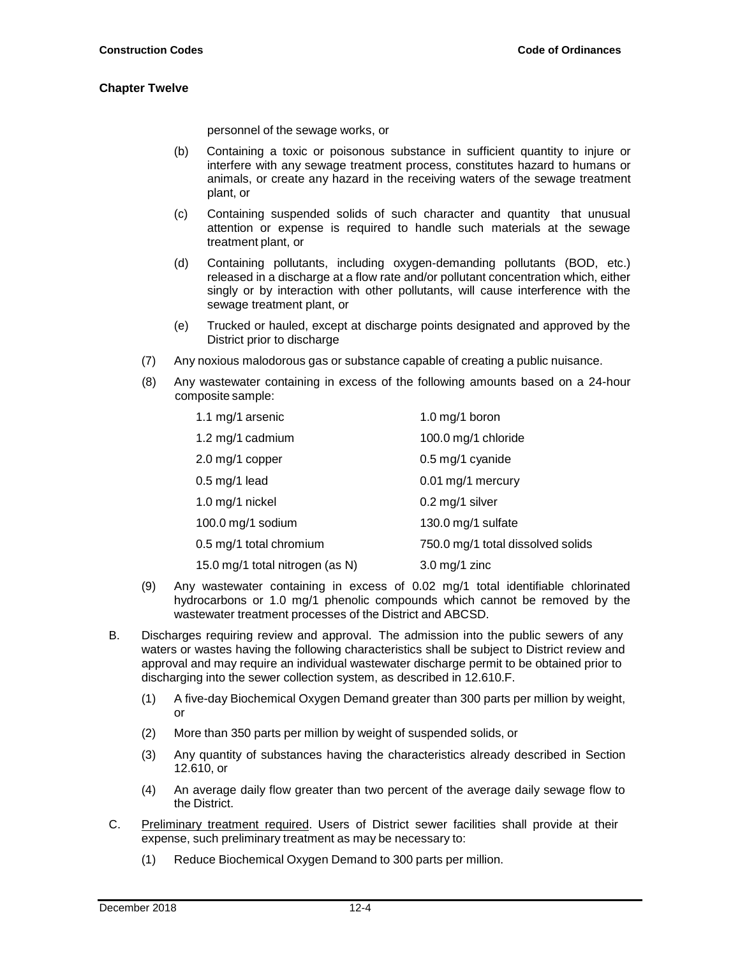personnel of the sewage works, or

- (b) Containing a toxic or poisonous substance in sufficient quantity to injure or interfere with any sewage treatment process, constitutes hazard to humans or animals, or create any hazard in the receiving waters of the sewage treatment plant, or
- (c) Containing suspended solids of such character and quantity that unusual attention or expense is required to handle such materials at the sewage treatment plant, or
- (d) Containing pollutants, including oxygen-demanding pollutants (BOD, etc.) released in a discharge at a flow rate and/or pollutant concentration which, either singly or by interaction with other pollutants, will cause interference with the sewage treatment plant, or
- (e) Trucked or hauled, except at discharge points designated and approved by the District prior to discharge
- (7) Any noxious malodorous gas or substance capable of creating a public nuisance.
- (8) Any wastewater containing in excess of the following amounts based on a 24-hour composite sample:

| 1.1 mg/1 arsenic                | 1.0 mg/1 boron                    |
|---------------------------------|-----------------------------------|
| 1.2 mg/1 cadmium                | 100.0 mg/1 chloride               |
| 2.0 mg/1 copper                 | 0.5 mg/1 cyanide                  |
| $0.5$ mg/1 lead                 | 0.01 mg/1 mercury                 |
| 1.0 mg/1 nickel                 | 0.2 mg/1 silver                   |
| 100.0 mg/1 sodium               | 130.0 mg/1 sulfate                |
| 0.5 mg/1 total chromium         | 750.0 mg/1 total dissolved solids |
| 15.0 mg/1 total nitrogen (as N) | $3.0 \text{ mg}/1 \text{ zinc}$   |

- (9) Any wastewater containing in excess of 0.02 mg/1 total identifiable chlorinated hydrocarbons or 1.0 mg/1 phenolic compounds which cannot be removed by the wastewater treatment processes of the District and ABCSD.
- B. Discharges requiring review and approval. The admission into the public sewers of any waters or wastes having the following characteristics shall be subject to District review and approval and may require an individual wastewater discharge permit to be obtained prior to discharging into the sewer collection system, as described in 12.610.F.
	- (1) A five-day Biochemical Oxygen Demand greater than 300 parts per million by weight, or
	- (2) More than 350 parts per million by weight of suspended solids, or
	- (3) Any quantity of substances having the characteristics already described in Section 12.610, or
	- (4) An average daily flow greater than two percent of the average daily sewage flow to the District.
- C. Preliminary treatment required. Users of District sewer facilities shall provide at their expense, such preliminary treatment as may be necessary to:
	- (1) Reduce Biochemical Oxygen Demand to 300 parts per million.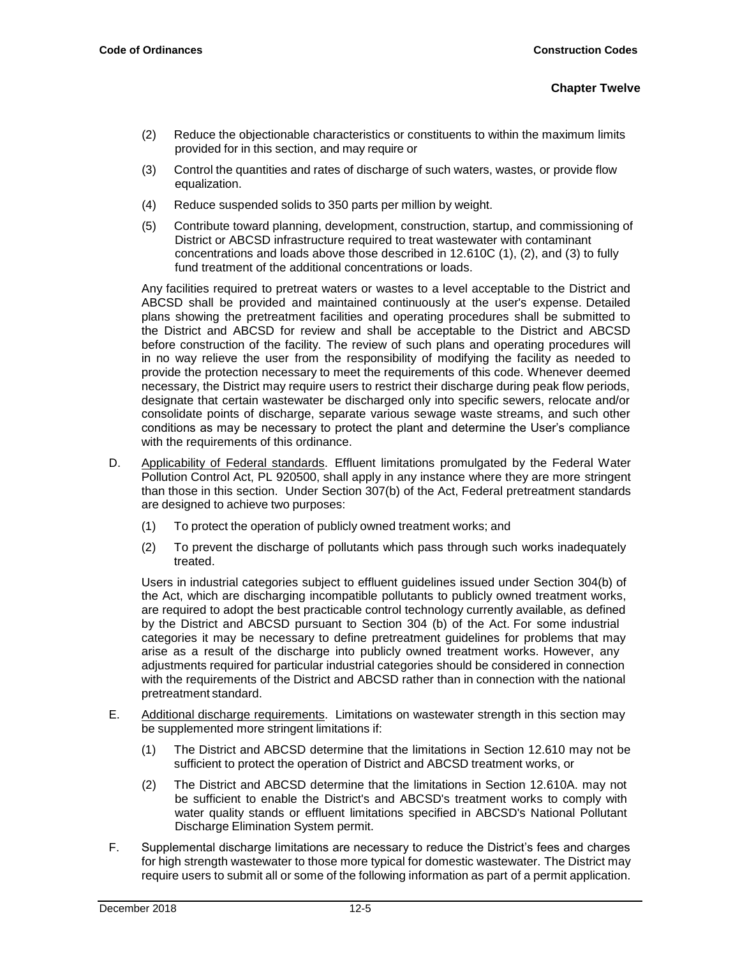- (2) Reduce the objectionable characteristics or constituents to within the maximum limits provided for in this section, and may require or
- (3) Control the quantities and rates of discharge of such waters, wastes, or provide flow equalization.
- (4) Reduce suspended solids to 350 parts per million by weight.
- (5) Contribute toward planning, development, construction, startup, and commissioning of District or ABCSD infrastructure required to treat wastewater with contaminant concentrations and loads above those described in 12.610C (1), (2), and (3) to fully fund treatment of the additional concentrations or loads.

Any facilities required to pretreat waters or wastes to a level acceptable to the District and ABCSD shall be provided and maintained continuously at the user's expense. Detailed plans showing the pretreatment facilities and operating procedures shall be submitted to the District and ABCSD for review and shall be acceptable to the District and ABCSD before construction of the facility. The review of such plans and operating procedures will in no way relieve the user from the responsibility of modifying the facility as needed to provide the protection necessary to meet the requirements of this code. Whenever deemed necessary, the District may require users to restrict their discharge during peak flow periods, designate that certain wastewater be discharged only into specific sewers, relocate and/or consolidate points of discharge, separate various sewage waste streams, and such other conditions as may be necessary to protect the plant and determine the User's compliance with the requirements of this ordinance.

- D. Applicability of Federal standards. Effluent limitations promulgated by the Federal Water Pollution Control Act, PL 920500, shall apply in any instance where they are more stringent than those in this section. Under Section 307(b) of the Act, Federal pretreatment standards are designed to achieve two purposes:
	- (1) To protect the operation of publicly owned treatment works; and
	- (2) To prevent the discharge of pollutants which pass through such works inadequately treated.

Users in industrial categories subject to effluent guidelines issued under Section 304(b) of the Act, which are discharging incompatible pollutants to publicly owned treatment works, are required to adopt the best practicable control technology currently available, as defined by the District and ABCSD pursuant to Section 304 (b) of the Act. For some industrial categories it may be necessary to define pretreatment guidelines for problems that may arise as a result of the discharge into publicly owned treatment works. However, any adjustments required for particular industrial categories should be considered in connection with the requirements of the District and ABCSD rather than in connection with the national pretreatment standard.

- E. Additional discharge requirements. Limitations on wastewater strength in this section may be supplemented more stringent limitations if:
	- (1) The District and ABCSD determine that the limitations in Section 12.610 may not be sufficient to protect the operation of District and ABCSD treatment works, or
	- (2) The District and ABCSD determine that the limitations in Section 12.610A. may not be sufficient to enable the District's and ABCSD's treatment works to comply with water quality stands or effluent limitations specified in ABCSD's National Pollutant Discharge Elimination System permit.
- F. Supplemental discharge limitations are necessary to reduce the District's fees and charges for high strength wastewater to those more typical for domestic wastewater. The District may require users to submit all or some of the following information as part of a permit application.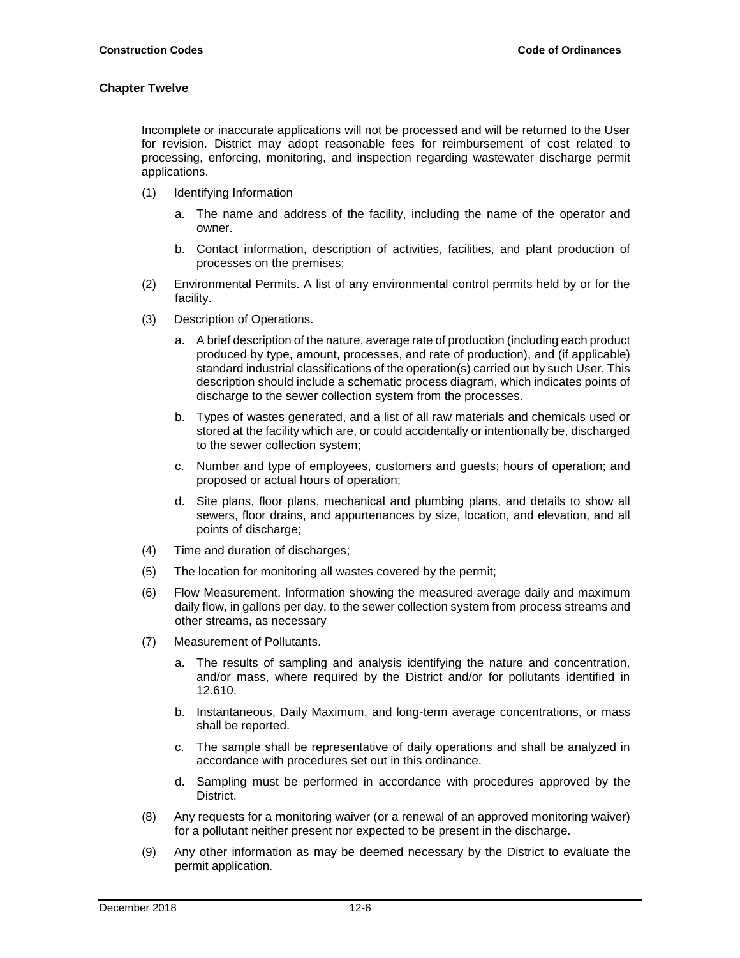Incomplete or inaccurate applications will not be processed and will be returned to the User for revision. District may adopt reasonable fees for reimbursement of cost related to processing, enforcing, monitoring, and inspection regarding wastewater discharge permit applications.

- (1) Identifying Information
	- a. The name and address of the facility, including the name of the operator and owner.
	- b. Contact information, description of activities, facilities, and plant production of processes on the premises;
- (2) Environmental Permits. A list of any environmental control permits held by or for the facility.
- (3) Description of Operations.
	- a. A brief description of the nature, average rate of production (including each product produced by type, amount, processes, and rate of production), and (if applicable) standard industrial classifications of the operation(s) carried out by such User. This description should include a schematic process diagram, which indicates points of discharge to the sewer collection system from the processes.
	- b. Types of wastes generated, and a list of all raw materials and chemicals used or stored at the facility which are, or could accidentally or intentionally be, discharged to the sewer collection system;
	- c. Number and type of employees, customers and guests; hours of operation; and proposed or actual hours of operation;
	- d. Site plans, floor plans, mechanical and plumbing plans, and details to show all sewers, floor drains, and appurtenances by size, location, and elevation, and all points of discharge;
- (4) Time and duration of discharges;
- (5) The location for monitoring all wastes covered by the permit;
- (6) Flow Measurement. Information showing the measured average daily and maximum daily flow, in gallons per day, to the sewer collection system from process streams and other streams, as necessary
- (7) Measurement of Pollutants.
	- a. The results of sampling and analysis identifying the nature and concentration, and/or mass, where required by the District and/or for pollutants identified in 12.610.
	- b. Instantaneous, Daily Maximum, and long-term average concentrations, or mass shall be reported.
	- c. The sample shall be representative of daily operations and shall be analyzed in accordance with procedures set out in this ordinance.
	- d. Sampling must be performed in accordance with procedures approved by the District.
- (8) Any requests for a monitoring waiver (or a renewal of an approved monitoring waiver) for a pollutant neither present nor expected to be present in the discharge.
- (9) Any other information as may be deemed necessary by the District to evaluate the permit application.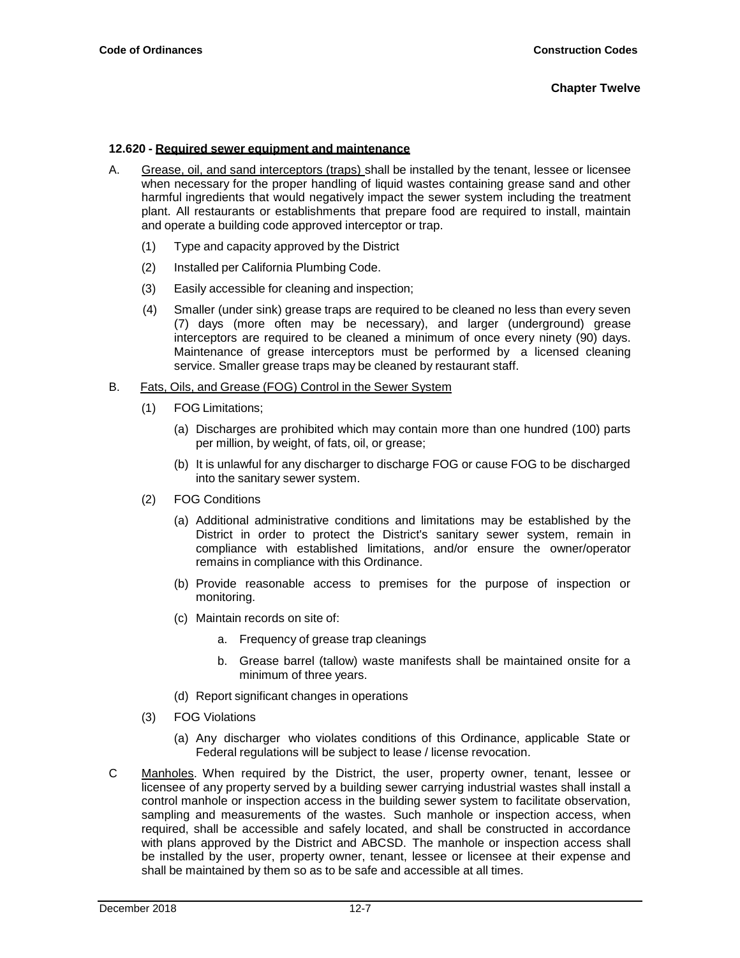#### **12.620 - Required sewer equipment and maintenance**

- A. Grease, oil, and sand interceptors (traps) shall be installed by the tenant, lessee or licensee when necessary for the proper handling of liquid wastes containing grease sand and other harmful ingredients that would negatively impact the sewer system including the treatment plant. All restaurants or establishments that prepare food are required to install, maintain and operate a building code approved interceptor or trap.
	- (1) Type and capacity approved by the District
	- (2) Installed per California Plumbing Code.
	- (3) Easily accessible for cleaning and inspection;
	- (4) Smaller (under sink) grease traps are required to be cleaned no less than every seven (7) days (more often may be necessary), and larger (underground) grease interceptors are required to be cleaned a minimum of once every ninety (90) days. Maintenance of grease interceptors must be performed by a licensed cleaning service. Smaller grease traps may be cleaned by restaurant staff.

#### B. Fats, Oils, and Grease (FOG) Control in the Sewer System

- (1) FOG Limitations;
	- (a) Discharges are prohibited which may contain more than one hundred (100) parts per million, by weight, of fats, oil, or grease;
	- (b) It is unlawful for any discharger to discharge FOG or cause FOG to be discharged into the sanitary sewer system.
- (2) FOG Conditions
	- (a) Additional administrative conditions and limitations may be established by the District in order to protect the District's sanitary sewer system, remain in compliance with established limitations, and/or ensure the owner/operator remains in compliance with this Ordinance.
	- (b) Provide reasonable access to premises for the purpose of inspection or monitoring.
	- (c) Maintain records on site of:
		- a. Frequency of grease trap cleanings
		- b. Grease barrel (tallow) waste manifests shall be maintained onsite for a minimum of three years.
	- (d) Report significant changes in operations
- (3) FOG Violations
	- (a) Any discharger who violates conditions of this Ordinance, applicable State or Federal regulations will be subject to lease / license revocation.
- C Manholes. When required by the District, the user, property owner, tenant, lessee or licensee of any property served by a building sewer carrying industrial wastes shall install a control manhole or inspection access in the building sewer system to facilitate observation, sampling and measurements of the wastes. Such manhole or inspection access, when required, shall be accessible and safely located, and shall be constructed in accordance with plans approved by the District and ABCSD. The manhole or inspection access shall be installed by the user, property owner, tenant, lessee or licensee at their expense and shall be maintained by them so as to be safe and accessible at all times.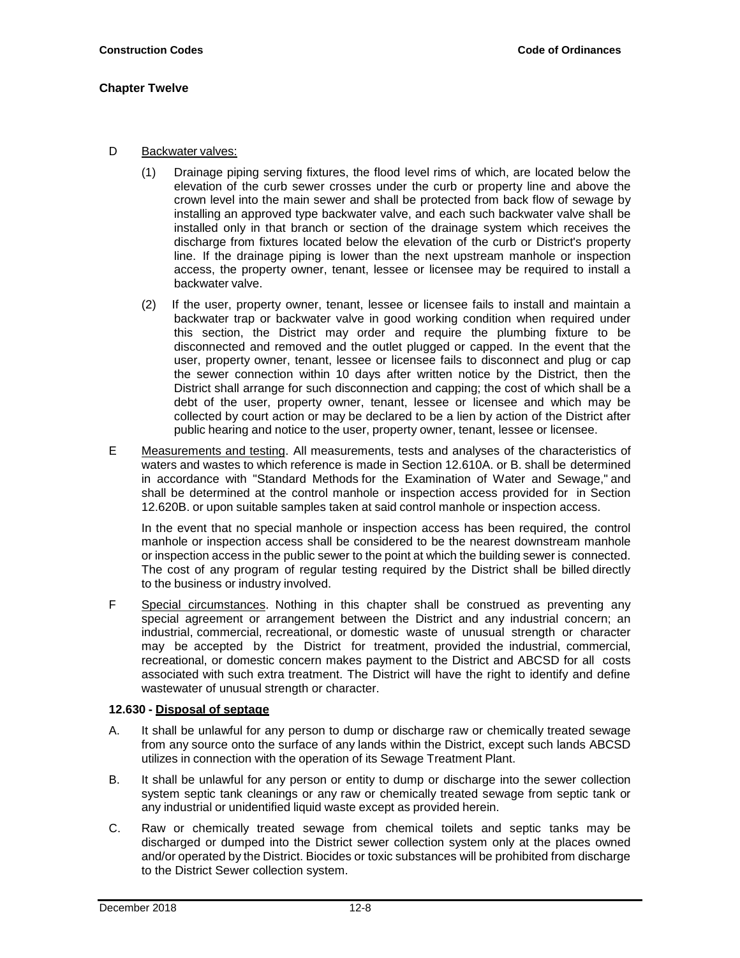- D Backwater valves:
	- (1) Drainage piping serving fixtures, the flood level rims of which, are located below the elevation of the curb sewer crosses under the curb or property line and above the crown level into the main sewer and shall be protected from back flow of sewage by installing an approved type backwater valve, and each such backwater valve shall be installed only in that branch or section of the drainage system which receives the discharge from fixtures located below the elevation of the curb or District's property line. If the drainage piping is lower than the next upstream manhole or inspection access, the property owner, tenant, lessee or licensee may be required to install a backwater valve.
	- (2) If the user, property owner, tenant, lessee or licensee fails to install and maintain a backwater trap or backwater valve in good working condition when required under this section, the District may order and require the plumbing fixture to be disconnected and removed and the outlet plugged or capped. In the event that the user, property owner, tenant, lessee or licensee fails to disconnect and plug or cap the sewer connection within 10 days after written notice by the District, then the District shall arrange for such disconnection and capping; the cost of which shall be a debt of the user, property owner, tenant, lessee or licensee and which may be collected by court action or may be declared to be a lien by action of the District after public hearing and notice to the user, property owner, tenant, lessee or licensee.
- E Measurements and testing. All measurements, tests and analyses of the characteristics of waters and wastes to which reference is made in Section 12.610A. or B. shall be determined in accordance with "Standard Methods for the Examination of Water and Sewage," and shall be determined at the control manhole or inspection access provided for in Section 12.620B. or upon suitable samples taken at said control manhole or inspection access.

In the event that no special manhole or inspection access has been required, the control manhole or inspection access shall be considered to be the nearest downstream manhole or inspection access in the public sewer to the point at which the building sewer is connected. The cost of any program of regular testing required by the District shall be billed directly to the business or industry involved.

F Special circumstances. Nothing in this chapter shall be construed as preventing any special agreement or arrangement between the District and any industrial concern; an industrial, commercial, recreational, or domestic waste of unusual strength or character may be accepted by the District for treatment, provided the industrial, commercial, recreational, or domestic concern makes payment to the District and ABCSD for all costs associated with such extra treatment. The District will have the right to identify and define wastewater of unusual strength or character.

## <span id="page-7-0"></span>**12.630 - Disposal of septage**

- A. It shall be unlawful for any person to dump or discharge raw or chemically treated sewage from any source onto the surface of any lands within the District, except such lands ABCSD utilizes in connection with the operation of its Sewage Treatment Plant.
- B. It shall be unlawful for any person or entity to dump or discharge into the sewer collection system septic tank cleanings or any raw or chemically treated sewage from septic tank or any industrial or unidentified liquid waste except as provided herein.
- C. Raw or chemically treated sewage from chemical toilets and septic tanks may be discharged or dumped into the District sewer collection system only at the places owned and/or operated by the District. Biocides or toxic substances will be prohibited from discharge to the District Sewer collection system.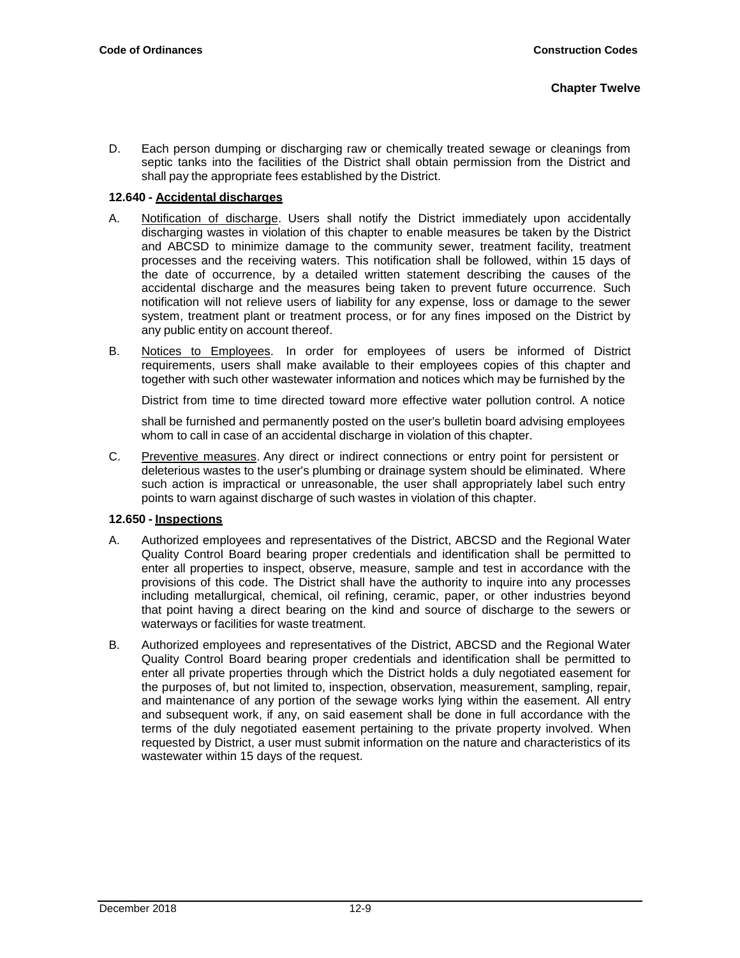D. Each person dumping or discharging raw or chemically treated sewage or cleanings from septic tanks into the facilities of the District shall obtain permission from the District and shall pay the appropriate fees established by the District.

## <span id="page-8-0"></span>**12.640 - Accidental discharges**

- A. Notification of discharge. Users shall notify the District immediately upon accidentally discharging wastes in violation of this chapter to enable measures be taken by the District and ABCSD to minimize damage to the community sewer, treatment facility, treatment processes and the receiving waters. This notification shall be followed, within 15 days of the date of occurrence, by a detailed written statement describing the causes of the accidental discharge and the measures being taken to prevent future occurrence. Such notification will not relieve users of liability for any expense, loss or damage to the sewer system, treatment plant or treatment process, or for any fines imposed on the District by any public entity on account thereof.
- B. Notices to Employees. In order for employees of users be informed of District requirements, users shall make available to their employees copies of this chapter and together with such other wastewater information and notices which may be furnished by the

District from time to time directed toward more effective water pollution control. A notice

shall be furnished and permanently posted on the user's bulletin board advising employees whom to call in case of an accidental discharge in violation of this chapter.

C. Preventive measures. Any direct or indirect connections or entry point for persistent or deleterious wastes to the user's plumbing or drainage system should be eliminated. Where such action is impractical or unreasonable, the user shall appropriately label such entry points to warn against discharge of such wastes in violation of this chapter.

## <span id="page-8-1"></span>**12.650 - Inspections**

- A. Authorized employees and representatives of the District, ABCSD and the Regional Water Quality Control Board bearing proper credentials and identification shall be permitted to enter all properties to inspect, observe, measure, sample and test in accordance with the provisions of this code. The District shall have the authority to inquire into any processes including metallurgical, chemical, oil refining, ceramic, paper, or other industries beyond that point having a direct bearing on the kind and source of discharge to the sewers or waterways or facilities for waste treatment.
- B. Authorized employees and representatives of the District, ABCSD and the Regional Water Quality Control Board bearing proper credentials and identification shall be permitted to enter all private properties through which the District holds a duly negotiated easement for the purposes of, but not limited to, inspection, observation, measurement, sampling, repair, and maintenance of any portion of the sewage works lying within the easement. All entry and subsequent work, if any, on said easement shall be done in full accordance with the terms of the duly negotiated easement pertaining to the private property involved. When requested by District, a user must submit information on the nature and characteristics of its wastewater within 15 days of the request.